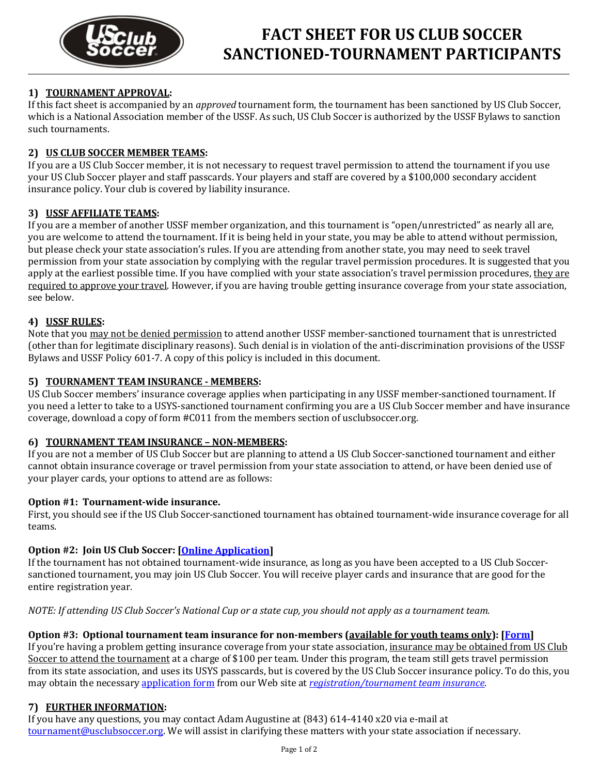

# **1) TOURNAMENT APPROVAL:**

If this fact sheet is accompanied by an *approved* tournament form, the tournament has been sanctioned by US Club Soccer, which is a National Association member of the USSF. As such, US Club Soccer is authorized by the USSF Bylaws to sanction such tournaments.

## **2) US CLUB SOCCER MEMBER TEAMS:**

If you are a US Club Soccer member, it is not necessary to request travel permission to attend the tournament if you use your US Club Soccer player and staff passcards. Your players and staff are covered by a \$100,000 secondary accident insurance policy. Your club is covered by liability insurance.

## **3) USSF AFFILIATE TEAMS:**

If you are a member of another USSF member organization, and this tournament is "open/unrestricted" as nearly all are, you are welcome to attend the tournament. If it is being held in your state, you may be able to attend without permission, but please check your state association's rules. If you are attending from another state, you may need to seek travel permission from your state association by complying with the regular travel permission procedures. It is suggested that you apply at the earliest possible time. If you have complied with your state association's travel permission procedures, they are required to approve your travel. However, if you are having trouble getting insurance coverage from your state association, see below.

## **4) USSF RULES:**

Note that you may not be denied permission to attend another USSF member-sanctioned tournament that is unrestricted (other than for legitimate disciplinary reasons). Such denial is in violation of the anti-discrimination provisions of the USSF Bylaws and USSF Policy 601-7. A copy of this policy is included in this document.

## **5) TOURNAMENT TEAM INSURANCE - MEMBERS:**

US Club Soccer members' insurance coverage applies when participating in any USSF member-sanctioned tournament. If you need a letter to take to a USYS-sanctioned tournament confirming you are a US Club Soccer member and have insurance coverage, download a copy of form #C011 from the members section of usclubsoccer.org.

## **6) TOURNAMENT TEAM INSURANCE – NON-MEMBERS:**

If you are not a member of US Club Soccer but are planning to attend a US Club Soccer-sanctioned tournament and either cannot obtain insurance coverage or travel permission from your state association to attend, or have been denied use of your player cards, your options to attend are as follows:

## **Option #1: Tournament-wide insurance.**

First, you should see if the US Club Soccer-sanctioned tournament has obtained tournament-wide insurance coverage for all teams.

## **Option #2: Join US Club Soccer: [\[Online Application\]](https://www.usclubsoccer.org/register.aspx?sec_id=15&guid=73f9c7f8-f00d-44ef-b038-35b95f570588)**

If the tournament has not obtained tournament-wide insurance, as long as you have been accepted to a US Club Soccersanctioned tournament, you may join US Club Soccer. You will receive player cards and insurance that are good for the entire registration year.

*NOTE: If attending US Club Soccer's National Cup or a state cup, you should not apply as a tournament team.*

## **Option #3: Optional tournament team insurance for non-members (available for youth teams only): [\[Form\]](http://www.usclubsoccer.org/members/forms/form_41.doc)**

If you're having a problem getting insurance coverage from your state association, insurance may be obtained from US Club Soccer to attend the tournament at a charge of \$100 per team. Under this program, the team still gets travel permission from its state association, and uses its USYS passcards, but is covered by the US Club Soccer insurance policy. To do this, you may obtain the necessary [application form](http://www.usclubsoccer.org/main.aspx?sec_id=15&guid=cf36f6e1-7a42-4a4d-b04f-5c42893cade3) from our Web site at *[registration/tournament team insurance](http://www.usclubsoccer.org/main.aspx?sec_id=15&guid=cf36f6e1-7a42-4a4d-b04f-5c42893cade3)*.

## **7) FURTHER INFORMATION:**

If you have any questions, you may contact Adam Augustine at (843) 614-4140 x20 via e-mail at [tournament@usclubsoccer.org.](mailto:admin@usclubsoccer.org) We will assist in clarifying these matters with your state association if necessary.